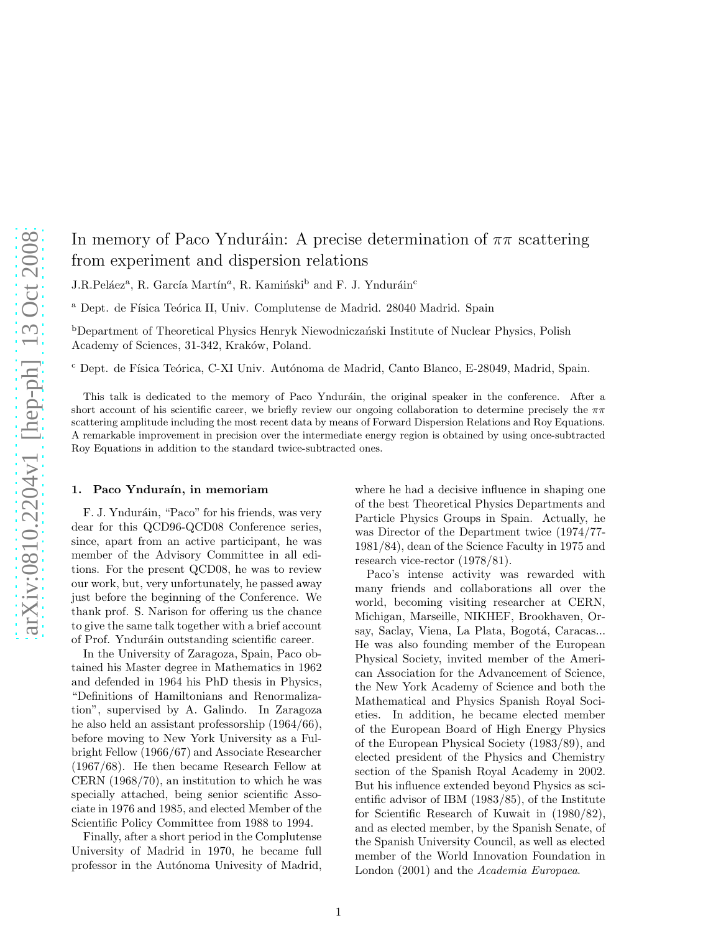# In memory of Paco Ynduráin: A precise determination of  $\pi\pi$  scattering from experiment and dispersion relations

 $J.R.Peláez<sup>a</sup>, R. García Martín<sup>a</sup>, R. Kamiński<sup>b</sup> and F. J. Ynduráin<sup>c</sup>$ 

<sup>a</sup> Dept. de Física Teórica II, Univ. Complutense de Madrid. 28040 Madrid. Spain

<sup>b</sup>Department of Theoretical Physics Henryk Niewodniczański Institute of Nuclear Physics, Polish Academy of Sciences, 31-342, Kraków, Poland.

<sup>c</sup> Dept. de Física Teórica, C-XI Univ. Autónoma de Madrid, Canto Blanco, E-28049, Madrid, Spain.

This talk is dedicated to the memory of Paco Ynduráin, the original speaker in the conference. After a short account of his scientific career, we briefly review our ongoing collaboration to determine precisely the  $\pi\pi$ scattering amplitude including the most recent data by means of Forward Dispersion Relations and Roy Equations. A remarkable improvement in precision over the intermediate energy region is obtained by using once-subtracted Roy Equations in addition to the standard twice-subtracted ones.

#### 1. Paco Ynduraín, in memoriam

F. J. Ynduráin, "Paco" for his friends, was very dear for this QCD96-QCD08 Conference series, since, apart from an active participant, he was member of the Advisory Committee in all editions. For the present QCD08, he was to review our work, but, very unfortunately, he passed away just before the beginning of the Conference. We thank prof. S. Narison for offering us the chance to give the same talk together with a brief account of Prof. Ynduráin outstanding scientific career.

In the University of Zaragoza, Spain, Paco obtained his Master degree in Mathematics in 1962 and defended in 1964 his PhD thesis in Physics, "Definitions of Hamiltonians and Renormalization", supervised by A. Galindo. In Zaragoza he also held an assistant professorship (1964/66), before moving to New York University as a Fulbright Fellow (1966/67) and Associate Researcher (1967/68). He then became Research Fellow at CERN (1968/70), an institution to which he was specially attached, being senior scientific Associate in 1976 and 1985, and elected Member of the Scientific Policy Committee from 1988 to 1994.

Finally, after a short period in the Complutense University of Madrid in 1970, he became full professor in the Autónoma Univesity of Madrid, where he had a decisive influence in shaping one of the best Theoretical Physics Departments and Particle Physics Groups in Spain. Actually, he was Director of the Department twice (1974/77- 1981/84), dean of the Science Faculty in 1975 and research vice-rector (1978/81).

Paco's intense activity was rewarded with many friends and collaborations all over the world, becoming visiting researcher at CERN, Michigan, Marseille, NIKHEF, Brookhaven, Orsay, Saclay, Viena, La Plata, Bogotá, Caracas... He was also founding member of the European Physical Society, invited member of the American Association for the Advancement of Science, the New York Academy of Science and both the Mathematical and Physics Spanish Royal Societies. In addition, he became elected member of the European Board of High Energy Physics of the European Physical Society (1983/89), and elected president of the Physics and Chemistry section of the Spanish Royal Academy in 2002. But his influence extended beyond Physics as scientific advisor of IBM (1983/85), of the Institute for Scientific Research of Kuwait in (1980/82), and as elected member, by the Spanish Senate, of the Spanish University Council, as well as elected member of the World Innovation Foundation in London (2001) and the *Academia Europaea*.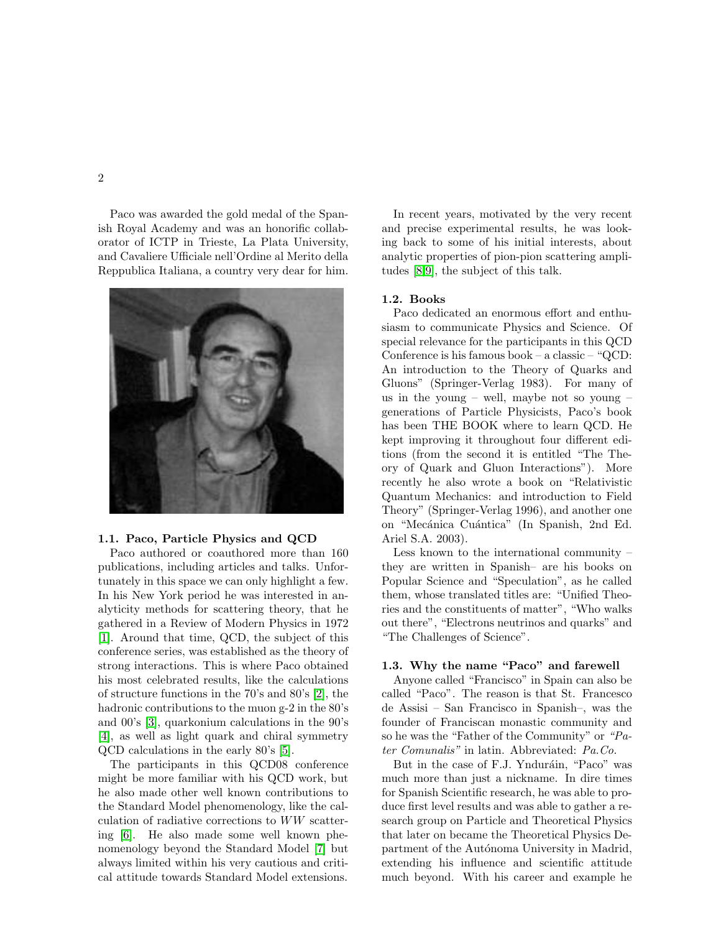Paco was awarded the gold medal of the Spanish Royal Academy and was an honorific collaborator of ICTP in Trieste, La Plata University, and Cavaliere Ufficiale nell'Ordine al Merito della Reppublica Italiana, a country very dear for him.



## 1.1. Paco, Particle Physics and QCD

Paco authored or coauthored more than 160 publications, including articles and talks. Unfortunately in this space we can only highlight a few. In his New York period he was interested in analyticity methods for scattering theory, that he gathered in a Review of Modern Physics in 1972 [\[1\]](#page-5-0). Around that time, QCD, the subject of this conference series, was established as the theory of strong interactions. This is where Paco obtained his most celebrated results, like the calculations of structure functions in the 70's and 80's [\[2\]](#page-5-1), the hadronic contributions to the muon g-2 in the 80's and 00's [\[3\]](#page-5-2), quarkonium calculations in the 90's [\[4\]](#page-5-3), as well as light quark and chiral symmetry QCD calculations in the early 80's [\[5\]](#page-5-4).

The participants in this QCD08 conference might be more familiar with his QCD work, but he also made other well known contributions to the Standard Model phenomenology, like the calculation of radiative corrections to WW scattering [\[6\]](#page-5-5). He also made some well known phenomenology beyond the Standard Model [\[7\]](#page-5-6) but always limited within his very cautious and critical attitude towards Standard Model extensions.

In recent years, motivated by the very recent and precise experimental results, he was looking back to some of his initial interests, about analytic properties of pion-pion scattering amplitudes [\[8](#page-5-7)[,9\]](#page-5-8), the subject of this talk.

#### 1.2. Books

Paco dedicated an enormous effort and enthusiasm to communicate Physics and Science. Of special relevance for the participants in this QCD Conference is his famous book – a classic – "QCD: An introduction to the Theory of Quarks and Gluons" (Springer-Verlag 1983). For many of us in the young – well, maybe not so young – generations of Particle Physicists, Paco's book has been THE BOOK where to learn QCD. He kept improving it throughout four different editions (from the second it is entitled "The Theory of Quark and Gluon Interactions"). More recently he also wrote a book on "Relativistic Quantum Mechanics: and introduction to Field Theory" (Springer-Verlag 1996), and another one on "Mecánica Cuántica" (In Spanish, 2nd Ed. Ariel S.A. 2003).

Less known to the international community – they are written in Spanish– are his books on Popular Science and "Speculation", as he called them, whose translated titles are: "Unified Theories and the constituents of matter", "Who walks out there", "Electrons neutrinos and quarks" and "The Challenges of Science".

# 1.3. Why the name "Paco" and farewell

Anyone called "Francisco" in Spain can also be called "Paco". The reason is that St. Francesco de Assisi – San Francisco in Spanish–, was the founder of Franciscan monastic community and so he was the "Father of the Community" or "Pater Comunalis" in latin. Abbreviated: Pa.Co.

But in the case of F.J. Ynduráin, "Paco" was much more than just a nickname. In dire times for Spanish Scientific research, he was able to produce first level results and was able to gather a research group on Particle and Theoretical Physics that later on became the Theoretical Physics Department of the Autónoma University in Madrid, extending his influence and scientific attitude much beyond. With his career and example he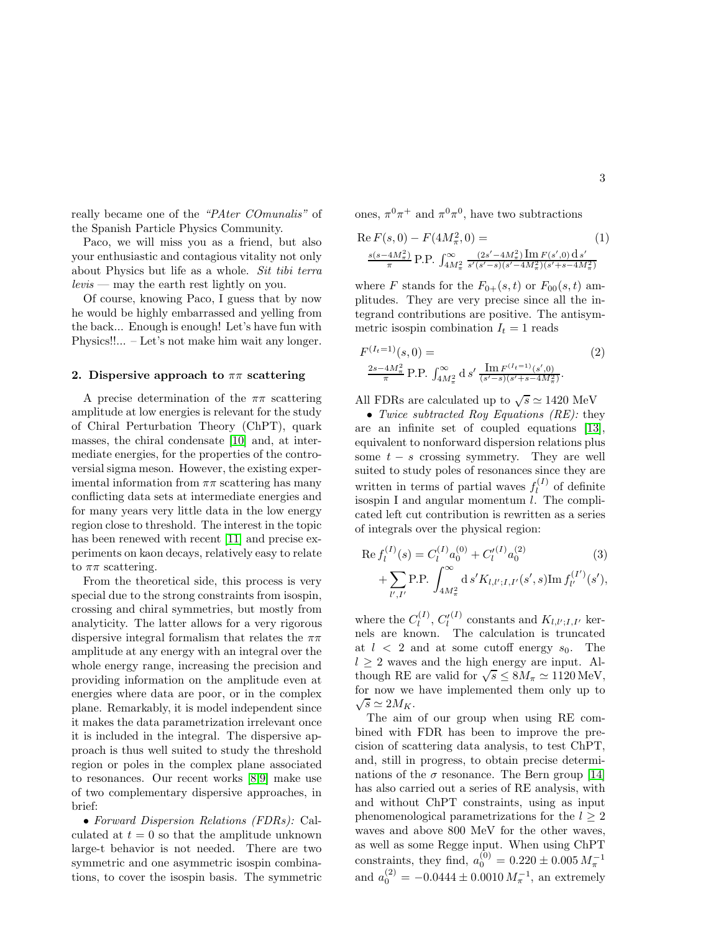really became one of the "PAter COmunalis" of the Spanish Particle Physics Community.

Paco, we will miss you as a friend, but also your enthusiastic and contagious vitality not only about Physics but life as a whole. Sit tibi terra  $levis$  — may the earth rest lightly on you.

Of course, knowing Paco, I guess that by now he would be highly embarrassed and yelling from the back... Enough is enough! Let's have fun with Physics!!... – Let's not make him wait any longer.

## 2. Dispersive approach to  $\pi\pi$  scattering

A precise determination of the  $\pi\pi$  scattering amplitude at low energies is relevant for the study of Chiral Perturbation Theory (ChPT), quark masses, the chiral condensate [\[10\]](#page-5-9) and, at intermediate energies, for the properties of the controversial sigma meson. However, the existing experimental information from  $\pi\pi$  scattering has many conflicting data sets at intermediate energies and for many years very little data in the low energy region close to threshold. The interest in the topic has been renewed with recent [\[11\]](#page-5-10) and precise experiments on kaon decays, relatively easy to relate to  $\pi\pi$  scattering.

From the theoretical side, this process is very special due to the strong constraints from isospin, crossing and chiral symmetries, but mostly from analyticity. The latter allows for a very rigorous dispersive integral formalism that relates the  $\pi\pi$ amplitude at any energy with an integral over the whole energy range, increasing the precision and providing information on the amplitude even at energies where data are poor, or in the complex plane. Remarkably, it is model independent since it makes the data parametrization irrelevant once it is included in the integral. The dispersive approach is thus well suited to study the threshold region or poles in the complex plane associated to resonances. Our recent works [\[8,](#page-5-7)[9\]](#page-5-8) make use of two complementary dispersive approaches, in brief:

• Forward Dispersion Relations (FDRs): Calculated at  $t = 0$  so that the amplitude unknown large-t behavior is not needed. There are two symmetric and one asymmetric isospin combinations, to cover the isospin basis. The symmetric ones,  $\pi^0 \pi^+$  and  $\pi^0 \pi^0$ , have two subtractions

<span id="page-2-0"></span>Re 
$$
F(s, 0) - F(4M_{\pi}^2, 0) =
$$
 (1)  

$$
\frac{s(s-4M_{\pi}^2)}{\pi} P.P. \int_{4M_{\pi}^2}^{\infty} \frac{(2s'-4M_{\pi}^2) \operatorname{Im} F(s',0) \operatorname{d} s'}{s'(s'-s)(s'-4M_{\pi}^2)(s'+s-4M_{\pi}^2)}
$$

where F stands for the  $F_{0+}(s,t)$  or  $F_{00}(s,t)$  amplitudes. They are very precise since all the integrand contributions are positive. The antisymmetric isospin combination  $I_t = 1$  reads

<span id="page-2-1"></span>
$$
F^{(I_t=1)}(s,0) =
$$
\n
$$
\frac{2s - 4M_{\pi}^2}{\pi} \text{ P.P. } \int_{4M_{\pi}^2}^{\infty} \mathrm{d} s' \frac{\mathrm{Im} F^{(I_t=1)}(s',0)}{(s'-s)(s'+s-4M_{\pi}^2)}.
$$
\n(2)

All FDRs are calculated up to  $\sqrt{s} \simeq 1420$  MeV

• Twice subtracted Roy Equations  $(RE)$ : they are an infinite set of coupled equations [\[13\]](#page-5-11), equivalent to nonforward dispersion relations plus some  $t - s$  crossing symmetry. They are well suited to study poles of resonances since they are written in terms of partial waves  $f_l^{(I)}$  $l_l^{(1)}$  of definite isospin I and angular momentum l. The complicated left cut contribution is rewritten as a series of integrals over the physical region:

<span id="page-2-2"></span>
$$
\operatorname{Re} f_l^{(I)}(s) = C_l^{(I)} a_0^{(0)} + C_l'^{(I)} a_0^{(2)} \qquad (3)
$$

$$
+ \sum_{l',I'} \operatorname{P.P.} \int_{4M_\pi^2}^\infty \mathrm{d} s' K_{l,l';I,I'}(s',s) \operatorname{Im} f_{l'}^{(I')}(s'),
$$

where the  $C_l^{(I)}$  $l_l^{(I)}, C_l^{\prime (I)}$  constants and  $K_{l,l';I,I'}$  kernels are known. The calculation is truncated at  $l < 2$  and at some cutoff energy  $s_0$ . The  $l \geq 2$  waves and the high energy are input. Although RE are valid for  $\sqrt{s} \leq 8M_{\pi} \simeq 1120 \text{ MeV}$ , for now we have implemented them only up to  $\sqrt{s} \simeq 2M_K.$ 

The aim of our group when using RE combined with FDR has been to improve the precision of scattering data analysis, to test ChPT, and, still in progress, to obtain precise determinations of the  $\sigma$  resonance. The Bern group [\[14\]](#page-5-12) has also carried out a series of RE analysis, with and without ChPT constraints, using as input phenomenological parametrizations for the  $l \geq 2$ waves and above 800 MeV for the other waves, as well as some Regge input. When using ChPT constraints, they find,  $a_0^{(0)} = 0.220 \pm 0.005 M_\pi^{-1}$ and  $a_0^{(2)} = -0.0444 \pm 0.0010 M_{\pi}^{-1}$ , an extremely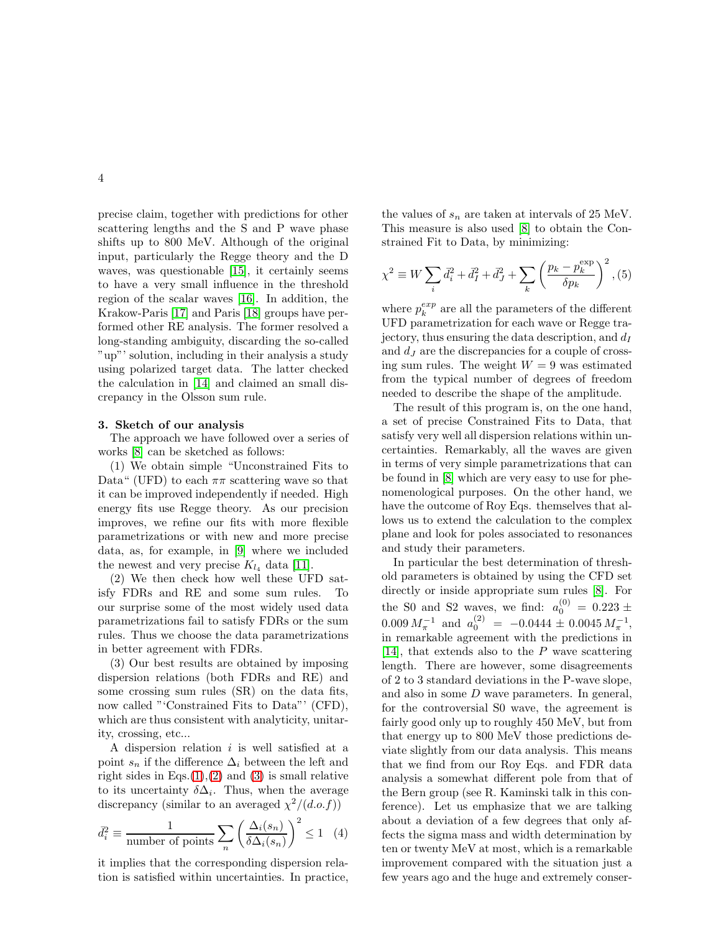precise claim, together with predictions for other scattering lengths and the S and P wave phase shifts up to 800 MeV. Although of the original input, particularly the Regge theory and the D waves, was questionable [\[15\]](#page-5-13), it certainly seems to have a very small influence in the threshold region of the scalar waves [\[16\]](#page-5-14). In addition, the Krakow-Paris [\[17\]](#page-5-15) and Paris [\[18\]](#page-5-16) groups have performed other RE analysis. The former resolved a long-standing ambiguity, discarding the so-called "up"' solution, including in their analysis a study using polarized target data. The latter checked the calculation in [\[14\]](#page-5-12) and claimed an small discrepancy in the Olsson sum rule.

#### 3. Sketch of our analysis

The approach we have followed over a series of works [\[8\]](#page-5-7) can be sketched as follows:

(1) We obtain simple "Unconstrained Fits to Data" (UFD) to each  $\pi\pi$  scattering wave so that it can be improved independently if needed. High energy fits use Regge theory. As our precision improves, we refine our fits with more flexible parametrizations or with new and more precise data, as, for example, in [\[9\]](#page-5-8) where we included the newest and very precise  $K_{l_4}$  data [\[11\]](#page-5-10).

(2) We then check how well these UFD satisfy FDRs and RE and some sum rules. To our surprise some of the most widely used data parametrizations fail to satisfy FDRs or the sum rules. Thus we choose the data parametrizations in better agreement with FDRs.

(3) Our best results are obtained by imposing dispersion relations (both FDRs and RE) and some crossing sum rules (SR) on the data fits, now called "'Constrained Fits to Data"' (CFD), which are thus consistent with analyticity, unitarity, crossing, etc...

A dispersion relation  $i$  is well satisfied at a point  $s_n$  if the difference  $\Delta_i$  between the left and right sides in Eqs. $(1),(2)$  $(1),(2)$  $(1),(2)$  and  $(3)$  is small relative to its uncertainty  $\delta \Delta_i$ . Thus, when the average discrepancy (similar to an averaged  $\chi^2/(d.o.f)$ )

<span id="page-3-0"></span>
$$
\bar{d}_i^2 \equiv \frac{1}{\text{number of points}} \sum_n \left( \frac{\Delta_i(s_n)}{\delta \Delta_i(s_n)} \right)^2 \le 1 \quad (4)
$$

it implies that the corresponding dispersion relation is satisfied within uncertainties. In practice, the values of  $s_n$  are taken at intervals of 25 MeV. This measure is also used [\[8\]](#page-5-7) to obtain the Constrained Fit to Data, by minimizing:

$$
\chi^{2} \equiv W \sum_{i} \vec{d}_{i}^{2} + \vec{d}_{I}^{2} + \vec{d}_{J}^{2} + \sum_{k} \left( \frac{p_{k} - p_{k}^{\exp}}{\delta p_{k}} \right)^{2}, (5)
$$

where  $p_k^{exp}$  are all the parameters of the different UFD parametrization for each wave or Regge trajectory, thus ensuring the data description, and  $d_I$ and  $d<sub>J</sub>$  are the discrepancies for a couple of crossing sum rules. The weight  $W = 9$  was estimated from the typical number of degrees of freedom needed to describe the shape of the amplitude.

The result of this program is, on the one hand, a set of precise Constrained Fits to Data, that satisfy very well all dispersion relations within uncertainties. Remarkably, all the waves are given in terms of very simple parametrizations that can be found in [\[8\]](#page-5-7) which are very easy to use for phenomenological purposes. On the other hand, we have the outcome of Roy Eqs. themselves that allows us to extend the calculation to the complex plane and look for poles associated to resonances and study their parameters.

In particular the best determination of threshold parameters is obtained by using the CFD set directly or inside appropriate sum rules [\[8\]](#page-5-7). For the S0 and S2 waves, we find:  $a_0^{(0)} = 0.223 \pm$  $0.009 M_{\pi}^{-1}$  and  $a_0^{(2)} = -0.0444 \pm 0.0045 M_{\pi}^{-1}$ , in remarkable agreement with the predictions in [\[14\]](#page-5-12), that extends also to the P wave scattering length. There are however, some disagreements of 2 to 3 standard deviations in the P-wave slope, and also in some D wave parameters. In general, for the controversial S0 wave, the agreement is fairly good only up to roughly 450 MeV, but from that energy up to 800 MeV those predictions deviate slightly from our data analysis. This means that we find from our Roy Eqs. and FDR data analysis a somewhat different pole from that of the Bern group (see R. Kaminski talk in this conference). Let us emphasize that we are talking about a deviation of a few degrees that only affects the sigma mass and width determination by ten or twenty MeV at most, which is a remarkable improvement compared with the situation just a few years ago and the huge and extremely conser-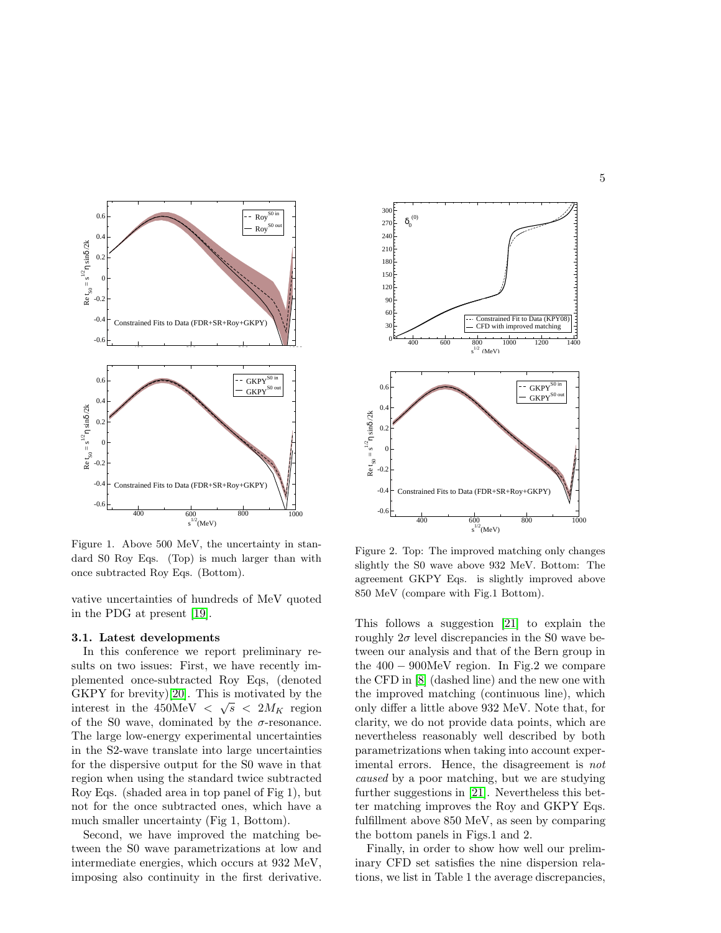

Figure 1. Above 500 MeV, the uncertainty in standard S0 Roy Eqs. (Top) is much larger than with once subtracted Roy Eqs. (Bottom).

vative uncertainties of hundreds of MeV quoted in the PDG at present [\[19\]](#page-5-17).

#### 3.1. Latest developments

In this conference we report preliminary results on two issues: First, we have recently implemented once-subtracted Roy Eqs, (denoted GKPY for brevity)[\[20\]](#page-5-18). This is motivated by the interest in the  $450 \text{MeV} < \sqrt{s} < 2M_K$  region of the S0 wave, dominated by the  $\sigma$ -resonance. The large low-energy experimental uncertainties in the S2-wave translate into large uncertainties for the dispersive output for the S0 wave in that region when using the standard twice subtracted Roy Eqs. (shaded area in top panel of Fig 1), but not for the once subtracted ones, which have a much smaller uncertainty (Fig 1, Bottom).

Second, we have improved the matching between the S0 wave parametrizations at low and intermediate energies, which occurs at 932 MeV, imposing also continuity in the first derivative.



Figure 2. Top: The improved matching only changes slightly the S0 wave above 932 MeV. Bottom: The agreement GKPY Eqs. is slightly improved above 850 MeV (compare with Fig.1 Bottom).

This follows a suggestion [\[21\]](#page-5-19) to explain the roughly  $2\sigma$  level discrepancies in the S0 wave between our analysis and that of the Bern group in the  $400 - 900$ MeV region. In Fig.2 we compare the CFD in [\[8\]](#page-5-7) (dashed line) and the new one with the improved matching (continuous line), which only differ a little above 932 MeV. Note that, for clarity, we do not provide data points, which are nevertheless reasonably well described by both parametrizations when taking into account experimental errors. Hence, the disagreement is *not* caused by a poor matching, but we are studying further suggestions in [\[21\]](#page-5-19). Nevertheless this better matching improves the Roy and GKPY Eqs. fulfillment above 850 MeV, as seen by comparing the bottom panels in Figs.1 and 2.

Finally, in order to show how well our preliminary CFD set satisfies the nine dispersion relations, we list in Table 1 the average discrepancies,